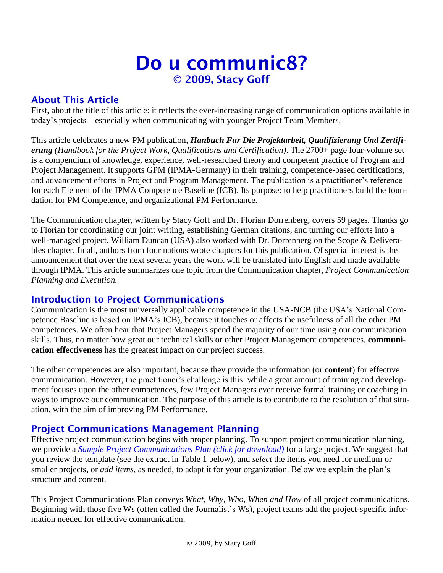# Do u communic8? © 2009, Stacy Goff

# About This Article

First, about the title of this article: it reflects the ever-increasing range of communication options available in today's projects—especially when communicating with younger Project Team Members.

This article celebrates a new PM publication, *Hanbuch Fur Die Projektarbeit, Qualifizierung Und Zertifierung (Handbook for the Project Work, Qualifications and Certification)*. The 2700+ page four-volume set is a compendium of knowledge, experience, well-researched theory and competent practice of Program and Project Management. It supports GPM (IPMA-Germany) in their training, competence-based certifications, and advancement efforts in Project and Program Management. The publication is a practitioner's reference for each Element of the IPMA Competence Baseline (ICB). Its purpose: to help practitioners build the foundation for PM Competence, and organizational PM Performance.

The Communication chapter, written by Stacy Goff and Dr. Florian Dorrenberg, covers 59 pages. Thanks go to Florian for coordinating our joint writing, establishing German citations, and turning our efforts into a well-managed project. William Duncan (USA) also worked with Dr. Dorrenberg on the Scope & Deliverables chapter. In all, authors from four nations wrote chapters for this publication. Of special interest is the announcement that over the next several years the work will be translated into English and made available through IPMA. This article summarizes one topic from the Communication chapter, *Project Communication Planning and Execution.*

### Introduction to Project Communications

Communication is the most universally applicable competence in the USA-NCB (the USA's National Competence Baseline is based on IPMA's ICB), because it touches or affects the usefulness of all the other PM competences. We often hear that Project Managers spend the majority of our time using our communication skills. Thus, no matter how great our technical skills or other Project Management competences, **communication effectiveness** has the greatest impact on our project success.

The other competences are also important, because they provide the information (or **content**) for effective communication. However, the practitioner's challenge is this: while a great amount of training and development focuses upon the other competences, few Project Managers ever receive formal training or coaching in ways to improve our communication. The purpose of this article is to contribute to the resolution of that situation, with the aim of improving PM Performance.

# Project Communications Management Planning

Effective project communication begins with proper planning. To support project communication planning, we provide a *[Sample Project Communications Plan \(click for download\)](https://stacygoff.com/assets/SampleProjCommPlan.docx)* for a large project. We suggest that you review the template (see the extract in Table 1 below), and *select* the items you need for medium or smaller projects, or *add items*, as needed, to adapt it for your organization. Below we explain the plan's structure and content.

This Project Communications Plan conveys *What, Why, Who, When and How* of all project communications. Beginning with those five Ws (often called the Journalist's Ws), project teams add the project-specific information needed for effective communication.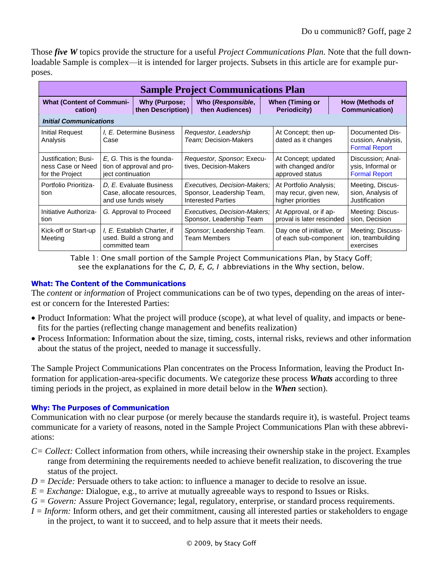Those *five W* topics provide the structure for a useful *Project Communications Plan*. Note that the full downloadable Sample is complex—it is intended for larger projects. Subsets in this article are for example purposes.

| <b>Sample Project Communications Plan</b>                    |                                                                              |                                           |                                                                                        |                                                          |                                                                      |                                                     |                                                                |                                    |  |  |
|--------------------------------------------------------------|------------------------------------------------------------------------------|-------------------------------------------|----------------------------------------------------------------------------------------|----------------------------------------------------------|----------------------------------------------------------------------|-----------------------------------------------------|----------------------------------------------------------------|------------------------------------|--|--|
| <b>What (Content of Communi-</b><br>cation)                  |                                                                              | <b>Why (Purpose;</b><br>then Description) |                                                                                        | Who (Responsible,<br>then Audiences)                     | <b>When (Timing or</b>                                               |                                                     | <b>How (Methods of</b><br><b>Communication</b> )               |                                    |  |  |
| <b>Initial Communications</b>                                |                                                                              |                                           |                                                                                        |                                                          |                                                                      |                                                     |                                                                |                                    |  |  |
| Initial Request<br>Analysis                                  | <i>I, E.</i> Determine Business<br>Case                                      |                                           | Requestor, Leadership<br>Team; Decision-Makers                                         |                                                          | At Concept; then up-<br>dated as it changes                          |                                                     | Documented Dis-<br>cussion, Analysis,<br><b>Formal Report</b>  |                                    |  |  |
| Justification; Busi-<br>ness Case or Need<br>for the Project | E, G. This is the founda-<br>tion of approval and pro-<br>ject continuation  |                                           | Requestor, Sponsor; Execu-<br>tives, Decision-Makers                                   |                                                          | At Concept; updated<br>with changed and/or<br>approved status        |                                                     | Discussion; Anal-<br>ysis, Informal or<br><b>Formal Report</b> |                                    |  |  |
| Portfolio Prioritiza-<br>tion                                | D. E. Evaluate Business<br>Case, allocate resources,<br>and use funds wisely |                                           | Executives, Decision-Makers;<br>Sponsor, Leadership Team,<br><b>Interested Parties</b> |                                                          | At Portfolio Analysis;<br>may recur, given new,<br>higher priorities |                                                     | Meeting, Discus-<br>sion, Analysis of<br>Justification         |                                    |  |  |
| Initiative Authoriza-<br>tion                                | G. Approval to Proceed                                                       |                                           |                                                                                        | Executives, Decision-Makers;<br>Sponsor, Leadership Team |                                                                      | At Approval, or if ap-<br>proval is later rescinded |                                                                | Meeting: Discus-<br>sion, Decision |  |  |
| Kick-off or Start-up<br>Meeting                              | I, E. Establish Charter, if<br>used. Build a strong and<br>committed team    |                                           | Sponsor; Leadership Team.<br><b>Team Members</b>                                       |                                                          | Day one of initiative, or<br>of each sub-component                   |                                                     | Meeting; Discuss-<br>ion, teambuilding<br>exercises            |                                    |  |  |

Table 1: One small portion of the Sample Project Communications Plan, by Stacy Goff; see the explanations for the *C, D, E, G, I* abbreviations in the Why section, below.

### **What: The Content of the Communications**

The *content* or *information* of Project communications can be of two types, depending on the areas of interest or concern for the Interested Parties:

- Product Information: What the project will produce (scope), at what level of quality, and impacts or benefits for the parties (reflecting change management and benefits realization)
- Process Information: Information about the size, timing, costs, internal risks, reviews and other information about the status of the project, needed to manage it successfully.

The Sample Project Communications Plan concentrates on the Process Information, leaving the Product Information for application-area-specific documents. We categorize these process *Whats* according to three timing periods in the project, as explained in more detail below in the *When* section).

#### **Why: The Purposes of Communication**

Communication with no clear purpose (or merely because the standards require it), is wasteful. Project teams communicate for a variety of reasons, noted in the Sample Project Communications Plan with these abbreviations:

- *C= Collect:* Collect information from others, while increasing their ownership stake in the project. Examples range from determining the requirements needed to achieve benefit realization, to discovering the true status of the project.
- *D = Decide:* Persuade others to take action: to influence a manager to decide to resolve an issue.
- $E = Exchange$ : Dialogue, e.g., to arrive at mutually agreeable ways to respond to Issues or Risks.
- *G = Govern:* Assure Project Governance; legal, regulatory, enterprise, or standard process requirements.
- *I = Inform:* Inform others, and get their commitment, causing all interested parties or stakeholders to engage in the project, to want it to succeed, and to help assure that it meets their needs.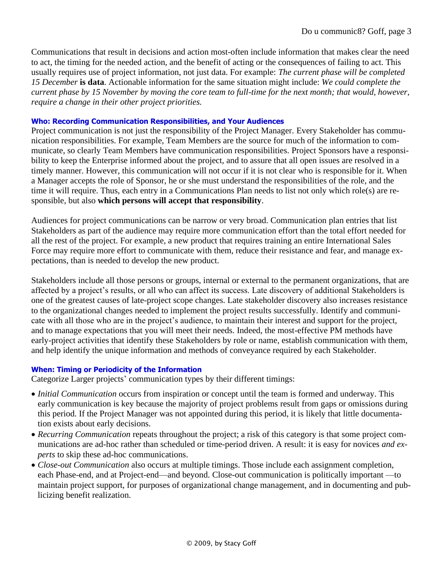Communications that result in decisions and action most-often include information that makes clear the need to act, the timing for the needed action, and the benefit of acting or the consequences of failing to act. This usually requires use of project information, not just data. For example: *The current phase will be completed 15 December* **is data**. Actionable information for the same situation might include: *We could complete the current phase by 15 November by moving the core team to full-time for the next month; that would, however, require a change in their other project priorities.*

#### **Who: Recording Communication Responsibilities, and Your Audiences**

Project communication is not just the responsibility of the Project Manager. Every Stakeholder has communication responsibilities. For example, Team Members are the source for much of the information to communicate, so clearly Team Members have communication responsibilities. Project Sponsors have a responsibility to keep the Enterprise informed about the project, and to assure that all open issues are resolved in a timely manner. However, this communication will not occur if it is not clear who is responsible for it. When a Manager accepts the role of Sponsor, he or she must understand the responsibilities of the role, and the time it will require. Thus, each entry in a Communications Plan needs to list not only which role(s) are responsible, but also **which persons will accept that responsibility**.

Audiences for project communications can be narrow or very broad. Communication plan entries that list Stakeholders as part of the audience may require more communication effort than the total effort needed for all the rest of the project. For example, a new product that requires training an entire International Sales Force may require more effort to communicate with them, reduce their resistance and fear, and manage expectations, than is needed to develop the new product.

Stakeholders include all those persons or groups, internal or external to the permanent organizations, that are affected by a project's results, or all who can affect its success. Late discovery of additional Stakeholders is one of the greatest causes of late-project scope changes. Late stakeholder discovery also increases resistance to the organizational changes needed to implement the project results successfully. Identify and communicate with all those who are in the project's audience, to maintain their interest and support for the project, and to manage expectations that you will meet their needs. Indeed, the most-effective PM methods have early-project activities that identify these Stakeholders by role or name, establish communication with them, and help identify the unique information and methods of conveyance required by each Stakeholder.

#### **When: Timing or Periodicity of the Information**

Categorize Larger projects' communication types by their different timings:

- *Initial Communication* occurs from inspiration or concept until the team is formed and underway. This early communication is key because the majority of project problems result from gaps or omissions during this period. If the Project Manager was not appointed during this period, it is likely that little documentation exists about early decisions.
- *Recurring Communication* repeats throughout the project; a risk of this category is that some project communications are ad-hoc rather than scheduled or time-period driven. A result: it is easy for novices *and experts* to skip these ad-hoc communications.
- *Close-out Communication* also occurs at multiple timings. Those include each assignment completion, each Phase-end, and at Project-end—and beyond. Close-out communication is politically important —to maintain project support, for purposes of organizational change management, and in documenting and publicizing benefit realization.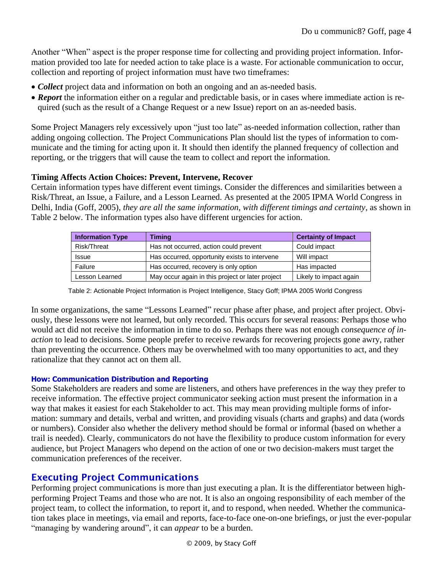Another "When" aspect is the proper response time for collecting and providing project information. Information provided too late for needed action to take place is a waste. For actionable communication to occur, collection and reporting of project information must have two timeframes:

- *Collect* project data and information on both an ongoing and an as-needed basis.
- **Report** the information either on a regular and predictable basis, or in cases where immediate action is required (such as the result of a Change Request or a new Issue) report on an as-needed basis.

Some Project Managers rely excessively upon "just too late" as-needed information collection, rather than adding ongoing collection. The Project Communications Plan should list the types of information to communicate and the timing for acting upon it. It should then identify the planned frequency of collection and reporting, or the triggers that will cause the team to collect and report the information.

### **Timing Affects Action Choices: Prevent, Intervene, Recover**

Certain information types have different event timings. Consider the differences and similarities between a Risk/Threat, an Issue, a Failure, and a Lesson Learned. As presented at the 2005 IPMA World Congress in Delhi, India (Goff, 2005), *they are all the same information, with different timings and certainty*, as shown in Table 2 below. The information types also have different urgencies for action.

| <b>Information Type</b> | <b>Timing</b>                                    | <b>Certainty of Impact</b> |  |  |
|-------------------------|--------------------------------------------------|----------------------------|--|--|
| Risk/Threat             | Has not occurred, action could prevent           | Could impact               |  |  |
| Issue                   | Has occurred, opportunity exists to intervene    | Will impact                |  |  |
| Failure                 | Has occurred, recovery is only option            | Has impacted               |  |  |
| Lesson Learned          | May occur again in this project or later project | Likely to impact again     |  |  |

Table 2: Actionable Project Information is Project Intelligence, Stacy Goff; IPMA 2005 World Congress

In some organizations, the same "Lessons Learned" recur phase after phase, and project after project. Obviously, these lessons were not learned, but only recorded. This occurs for several reasons: Perhaps those who would act did not receive the information in time to do so. Perhaps there was not enough *consequence of inaction* to lead to decisions. Some people prefer to receive rewards for recovering projects gone awry, rather than preventing the occurrence. Others may be overwhelmed with too many opportunities to act, and they rationalize that they cannot act on them all.

#### **How: Communication Distribution and Reporting**

Some Stakeholders are readers and some are listeners, and others have preferences in the way they prefer to receive information. The effective project communicator seeking action must present the information in a way that makes it easiest for each Stakeholder to act. This may mean providing multiple forms of information: summary and details, verbal and written, and providing visuals (charts and graphs) and data (words or numbers). Consider also whether the delivery method should be formal or informal (based on whether a trail is needed). Clearly, communicators do not have the flexibility to produce custom information for every audience, but Project Managers who depend on the action of one or two decision-makers must target the communication preferences of the receiver.

### Executing Project Communications

Performing project communications is more than just executing a plan. It is the differentiator between highperforming Project Teams and those who are not. It is also an ongoing responsibility of each member of the project team, to collect the information, to report it, and to respond, when needed. Whether the communication takes place in meetings, via email and reports, face-to-face one-on-one briefings, or just the ever-popular "managing by wandering around", it can *appear* to be a burden.